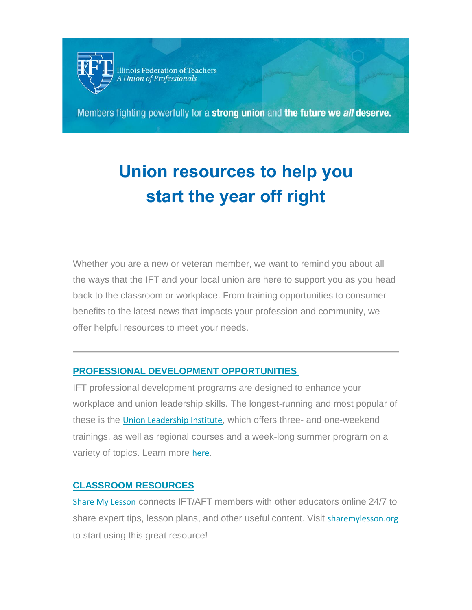

Illinois Federation of Teachers<br>A Union of Professionals

Members fighting powerfully for a strong union and the future we all deserve.

# **Union resources to help you start the year off right**

Whether you are a new or veteran member, we want to remind you about all the ways that the IFT and your local union are here to support you as you head back to the classroom or workplace. From training opportunities to consumer benefits to the latest news that impacts your profession and community, we offer helpful resources to meet your needs.

# **[PROFESSIONAL DEVELOPMENT OPPORTUNITIES](https://ift-aft.us16.list-manage.com/track/click?u=1a8107d016431adaa1ab85e54&id=e1ad27d069&e=cbe1e6f6b7)**

IFT professional development programs are designed to enhance your workplace and union leadership skills. The longest-running and most popular of these is the [Union Leadership Institute](https://ift-aft.us16.list-manage.com/track/click?u=1a8107d016431adaa1ab85e54&id=6785186ffb&e=cbe1e6f6b7), which offers three- and one-weekend trainings, as well as regional courses and a week-long summer program on a variety of topics. Learn more [here](https://ift-aft.us16.list-manage.com/track/click?u=1a8107d016431adaa1ab85e54&id=24748bf601&e=cbe1e6f6b7).

# **[CLASSROOM RESOURCES](https://ift-aft.us16.list-manage.com/track/click?u=1a8107d016431adaa1ab85e54&id=2b83bfd13e&e=cbe1e6f6b7)**

[Share My Lesson](https://ift-aft.us16.list-manage.com/track/click?u=1a8107d016431adaa1ab85e54&id=653bdeddfb&e=cbe1e6f6b7) connects IFT/AFT members with other educators online 24/7 to share expert tips, lesson plans, and other useful content. Visit [sharemylesson.org](https://ift-aft.us16.list-manage.com/track/click?u=1a8107d016431adaa1ab85e54&id=9a1ebb0063&e=cbe1e6f6b7) to start using this great resource!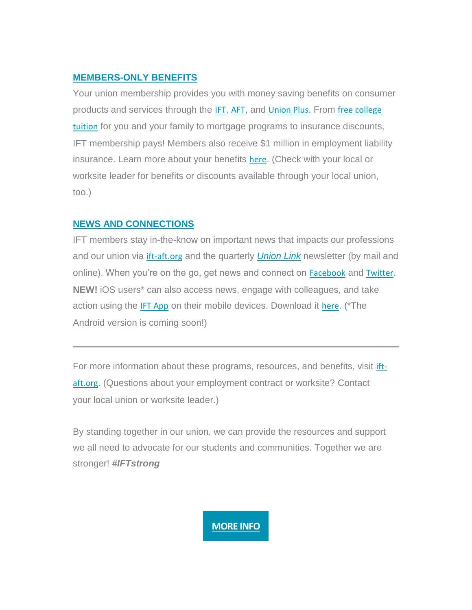### **[MEMBERS-ONLY BENEFITS](https://ift-aft.us16.list-manage.com/track/click?u=1a8107d016431adaa1ab85e54&id=4bd0a90362&e=cbe1e6f6b7)**

Your union membership provides you with money saving benefits on consumer products and services through the [IFT](https://ift-aft.us16.list-manage.com/track/click?u=1a8107d016431adaa1ab85e54&id=43e5f89f34&e=cbe1e6f6b7), [AFT](https://ift-aft.us16.list-manage.com/track/click?u=1a8107d016431adaa1ab85e54&id=26064f7493&e=cbe1e6f6b7), and [Union Plus](https://ift-aft.us16.list-manage.com/track/click?u=1a8107d016431adaa1ab85e54&id=f930c1314d&e=cbe1e6f6b7). From free college [tuition](https://ift-aft.us16.list-manage.com/track/click?u=1a8107d016431adaa1ab85e54&id=f5c7dca01c&e=cbe1e6f6b7) for you and your family to mortgage programs to insurance discounts, IFT membership pays! Members also receive \$1 million in employment liability insurance. Learn more about your benefits [here](https://ift-aft.us16.list-manage.com/track/click?u=1a8107d016431adaa1ab85e54&id=9c3068ea56&e=cbe1e6f6b7). (Check with your local or worksite leader for benefits or discounts available through your local union, too.)

### **[NEWS AND CONNECTIONS](https://ift-aft.us16.list-manage.com/track/click?u=1a8107d016431adaa1ab85e54&id=8cc086a9dd&e=cbe1e6f6b7)**

IFT members stay in-the-know on important news that impacts our professions and our union via [ift-aft.org](https://ift-aft.us16.list-manage.com/track/click?u=1a8107d016431adaa1ab85e54&id=38a9eef9f9&e=cbe1e6f6b7) and the quarterly *[Union Link](https://ift-aft.us16.list-manage.com/track/click?u=1a8107d016431adaa1ab85e54&id=b63564715f&e=cbe1e6f6b7)* newsletter (by mail and online). When you're on the go, get news and connect on [Facebook](https://ift-aft.us16.list-manage.com/track/click?u=1a8107d016431adaa1ab85e54&id=d3b5ec0b10&e=cbe1e6f6b7) and [Twitter](https://ift-aft.us16.list-manage.com/track/click?u=1a8107d016431adaa1ab85e54&id=1e2efde1da&e=cbe1e6f6b7). **NEW!** iOS users\* can also access news, engage with colleagues, and take action using the [IFT App](https://ift-aft.us16.list-manage.com/track/click?u=1a8107d016431adaa1ab85e54&id=9139e0789f&e=cbe1e6f6b7) on their mobile devices. Download it [here](https://ift-aft.us16.list-manage.com/track/click?u=1a8107d016431adaa1ab85e54&id=ec82594ea5&e=cbe1e6f6b7). (\*The Android version is coming soon!)

For more information about these programs, resources, and benefits, visit [ift](https://ift-aft.us16.list-manage.com/track/click?u=1a8107d016431adaa1ab85e54&id=34c751955a&e=cbe1e6f6b7)[aft.org](https://ift-aft.us16.list-manage.com/track/click?u=1a8107d016431adaa1ab85e54&id=34c751955a&e=cbe1e6f6b7). (Questions about your employment contract or worksite? Contact your local union or worksite leader.)

By standing together in our union, we can provide the resources and support we all need to advocate for our students and communities. Together we are stronger! *#IFTstrong*

# **[MORE INFO](https://ift-aft.us16.list-manage.com/track/click?u=1a8107d016431adaa1ab85e54&id=ffae05200d&e=cbe1e6f6b7)**